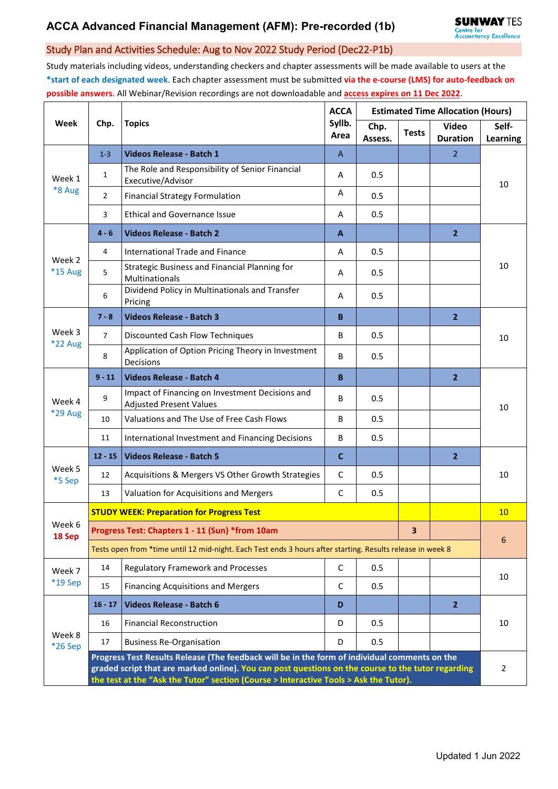## Study Plan and Activities Schedule: Aug to Nov 2022 Study Period (Dec22-P1b)

Study materials including videos, understanding checkers and chapter assessments will be made available to users at the **\*start of each designated week**. Each chapter assessment must be submitted **via the e-course (LMS) for auto-feedback on possible answers**. All Webinar/Revision recordings are not downloadable and **access expires on 11 Dec 2022**.

| Week                     | Chp.                                                                                                                                                                                                                                                                                         | <b>Topics</b>                                                                     | <b>ACCA</b><br>Syllb.<br>Area | <b>Estimated Time Allocation (Hours)</b> |              |                                 |                   |  |  |
|--------------------------|----------------------------------------------------------------------------------------------------------------------------------------------------------------------------------------------------------------------------------------------------------------------------------------------|-----------------------------------------------------------------------------------|-------------------------------|------------------------------------------|--------------|---------------------------------|-------------------|--|--|
|                          |                                                                                                                                                                                                                                                                                              |                                                                                   |                               | Chp.<br>Assess.                          | <b>Tests</b> | <b>Video</b><br><b>Duration</b> | Self-<br>Learning |  |  |
| Week 1<br>*8 Aug         | $1 - 3$                                                                                                                                                                                                                                                                                      | Videos Release - Batch 1                                                          | A                             |                                          |              | $\overline{2}$                  | 10                |  |  |
|                          | $\mathbf{1}$                                                                                                                                                                                                                                                                                 | The Role and Responsibility of Senior Financial<br>Executive/Advisor              | A                             | 0.5                                      |              |                                 |                   |  |  |
|                          | $\overline{2}$                                                                                                                                                                                                                                                                               | <b>Financial Strategy Formulation</b>                                             | Α                             | 0.5                                      |              |                                 |                   |  |  |
|                          | 3                                                                                                                                                                                                                                                                                            | <b>Ethical and Governance Issue</b>                                               | A                             | 0.5                                      |              |                                 |                   |  |  |
| Week 2<br>*15 Aug        | $4 - 6$                                                                                                                                                                                                                                                                                      | <b>Videos Release - Batch 2</b>                                                   | A                             |                                          |              | 2 <sup>2</sup>                  | 10                |  |  |
|                          | 4                                                                                                                                                                                                                                                                                            | <b>International Trade and Finance</b>                                            | Α                             | 0.5                                      |              |                                 |                   |  |  |
|                          | 5                                                                                                                                                                                                                                                                                            | Strategic Business and Financial Planning for<br>Multinationals                   | A                             | 0.5                                      |              |                                 |                   |  |  |
|                          | 6                                                                                                                                                                                                                                                                                            | Dividend Policy in Multinationals and Transfer<br>Pricing                         | A                             | 0.5                                      |              |                                 |                   |  |  |
|                          | $7 - 8$                                                                                                                                                                                                                                                                                      | <b>Videos Release - Batch 3</b>                                                   | B                             |                                          |              | $\overline{2}$                  | 10                |  |  |
| Week 3<br>*22 Aug        | $\overline{7}$                                                                                                                                                                                                                                                                               | Discounted Cash Flow Techniques                                                   | B                             | 0.5                                      |              |                                 |                   |  |  |
|                          | 8                                                                                                                                                                                                                                                                                            | Application of Option Pricing Theory in Investment<br>Decisions                   | B                             | 0.5                                      |              |                                 |                   |  |  |
| Week 4<br><b>*29 Aug</b> | $9 - 11$                                                                                                                                                                                                                                                                                     | <b>Videos Release - Batch 4</b>                                                   | B                             |                                          |              | $\overline{2}$                  | 10                |  |  |
|                          | 9                                                                                                                                                                                                                                                                                            | Impact of Financing on Investment Decisions and<br><b>Adjusted Present Values</b> | B                             | 0.5                                      |              |                                 |                   |  |  |
|                          | 10                                                                                                                                                                                                                                                                                           | Valuations and The Use of Free Cash Flows                                         | B                             | 0.5                                      |              |                                 |                   |  |  |
|                          | 11                                                                                                                                                                                                                                                                                           | International Investment and Financing Decisions                                  | B                             | 0.5                                      |              |                                 |                   |  |  |
| Week 5<br>*5 Sep         | $12 - 15$                                                                                                                                                                                                                                                                                    | <b>Videos Release - Batch 5</b>                                                   | $\mathbf C$                   |                                          |              | $\overline{2}$                  | 10                |  |  |
|                          | 12                                                                                                                                                                                                                                                                                           | Acquisitions & Mergers VS Other Growth Strategies                                 | C                             | 0.5                                      |              |                                 |                   |  |  |
|                          | 13                                                                                                                                                                                                                                                                                           | Valuation for Acquisitions and Mergers                                            | $\mathsf C$                   | 0.5                                      |              |                                 |                   |  |  |
| Week 6<br>18 Sep         | <b>STUDY WEEK: Preparation for Progress Test</b>                                                                                                                                                                                                                                             |                                                                                   |                               |                                          |              |                                 |                   |  |  |
|                          | Progress Test: Chapters 1 - 11 (Sun) *from 10am                                                                                                                                                                                                                                              |                                                                                   |                               |                                          |              |                                 | 6                 |  |  |
|                          | Tests open from *time until 12 mid-night. Each Test ends 3 hours after starting. Results release in week 8                                                                                                                                                                                   |                                                                                   |                               |                                          |              |                                 |                   |  |  |
| Week 7<br>*19 Sep        | 14                                                                                                                                                                                                                                                                                           | <b>Regulatory Framework and Processes</b>                                         | $\mathsf{C}$                  | 0.5                                      |              |                                 | 10                |  |  |
|                          | 15                                                                                                                                                                                                                                                                                           | <b>Financing Acquisitions and Mergers</b>                                         | C                             | 0.5                                      |              |                                 |                   |  |  |
| Week 8<br>*26 Sep        | $16 - 17$                                                                                                                                                                                                                                                                                    | <b>Videos Release - Batch 6</b>                                                   | D                             |                                          |              | 2 <sup>2</sup>                  | 10                |  |  |
|                          | 16                                                                                                                                                                                                                                                                                           | <b>Financial Reconstruction</b>                                                   | D                             | 0.5                                      |              |                                 |                   |  |  |
|                          | 17                                                                                                                                                                                                                                                                                           | <b>Business Re-Organisation</b>                                                   | D                             | 0.5                                      |              |                                 |                   |  |  |
|                          | Progress Test Results Release (The feedback will be in the form of individual comments on the<br>graded script that are marked online). You can post questions on the course to the tutor regarding<br>the test at the "Ask the Tutor" section (Course > Interactive Tools > Ask the Tutor). |                                                                                   |                               |                                          |              |                                 |                   |  |  |